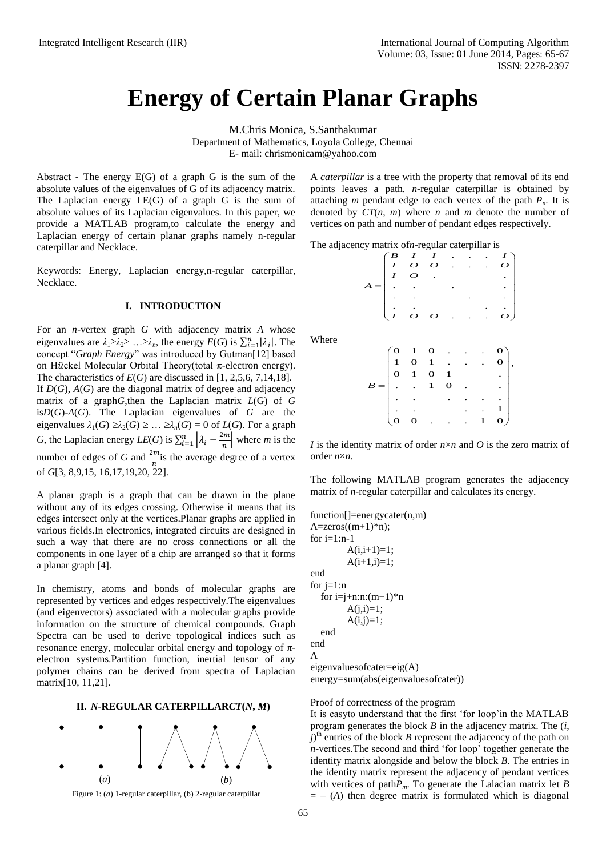# **Energy of Certain Planar Graphs**

M.Chris Monica, S.Santhakumar Department of Mathematics, Loyola College, Chennai

E- mail: [chrismonicam@yahoo.com](mailto:chrismonicam@yahoo.com)

Abstract *-* The energy E(G) of a graph G is the sum of the absolute values of the eigenvalues of G of its adjacency matrix. The Laplacian energy LE(G) of a graph G is the sum of absolute values of its Laplacian eigenvalues. In this paper, we provide a MATLAB program,to calculate the energy and Laplacian energy of certain planar graphs namely n-regular caterpillar and Necklace.

Keywords: Energy, Laplacian energy,n-regular caterpillar, Necklace.

#### **I. INTRODUCTION**

For an *n*-vertex graph *G* with adjacency matrix *A* whose eigenvalues are  $\lambda_1 \geq \lambda_2 \geq \ldots \geq \lambda_n$ , the energy  $E(G)$  is  $\sum_{i=1}^n |\lambda_i|$ . The concept "*Graph Energy*" was introduced by Gutman[12] based on Hückel Molecular Orbital Theory(total π-electron energy). The characteristics of  $E(G)$  are discussed in [1, 2,5,6, 7,14,18]. If  $D(G)$ ,  $A(G)$  are the diagonal matrix of degree and adjacency matrix of a graph*G*,then the Laplacian matrix *L*(G) of *G* is*D*(*G*)-*A*(*G*). The Laplacian eigenvalues of *G* are the eigenvalues  $\lambda_1(G) \geq \lambda_2(G) \geq \ldots \geq \lambda_n(G) = 0$  of  $L(G)$ . For a graph *G*, the Laplacian energy *LE*(*G*) is  $\sum_{i=1}^{n} |\lambda_i - \lambda_i|^2$  $\left| \lambda_i - \frac{2m}{n} \right|$  where *m* is the number of edges of *G* and  $\frac{2m}{n}$  is the average degree of a vertex of *G*[3, 8,9,15, 16,17,19,20, 22].

A planar graph is a graph that can be drawn in the plane without any of its edges crossing. Otherwise it means that its edges intersect only at the vertices.Planar graphs are applied in various fields.In electronics, integrated circuits are designed in such a way that there are no cross connections or all the components in one layer of a chip are arranged so that it forms a planar graph [4].

In chemistry, atoms and bonds of molecular graphs are represented by vertices and edges respectively.The eigenvalues (and eigenvectors) associated with a molecular graphs provide information on the structure of chemical compounds. Graph Spectra can be used to derive topological indices such as resonance energy, molecular orbital energy and topology of  $\pi$ electron systems.Partition function, inertial tensor of any polymer chains can be derived from spectra of Laplacian matrix[10, 11,21].

### **II.** *N***-REGULAR CATERPILLAR***CT***(***N***,** *M***)**



Figure 1: (*a*) 1-regular caterpillar, (b) 2-regular caterpillar

A *caterpillar* is a tree with the property that removal of its end points leaves a path. *n*-regular caterpillar is obtained by attaching *m* pendant edge to each vertex of the path  $P_n$ . It is denoted by *CT*(*n*, *m*) where *n* and *m* denote the number of vertices on path and number of pendant edges respectively.

| $\begin{array}{ccc}\n & \text{regular } \mathfrak{c}_{\alpha} \\  \downarrow \mathfrak{c} & I & I \\  & I & O & O \\  & I & O & \n\end{array}$ |  |                 |  |  |
|------------------------------------------------------------------------------------------------------------------------------------------------|--|-----------------|--|--|
|                                                                                                                                                |  |                 |  |  |
|                                                                                                                                                |  |                 |  |  |
|                                                                                                                                                |  |                 |  |  |
|                                                                                                                                                |  | $\sim 10^{-11}$ |  |  |

Where

|  |  |  | $\begin{pmatrix} 0 & 1 & 0 & . & . \\ 1 & 0 & 1 & . & . \\ 0 & 1 & 0 & 1 & . \\ . & . & 1 & 0 & . \\ . & . & . & . & . \end{pmatrix}$ |
|--|--|--|---------------------------------------------------------------------------------------------------------------------------------------|

*I* is the identity matrix of order *n*×*n* and *O* is the zero matrix of order *n*×*n*.

The following MATLAB program generates the adjacency matrix of *n*-regular caterpillar and calculates its energy.

```
function[]=energycater(n,m)
A = zeros((m+1)*n);for i=1:n-1A(i,i+1)=1;A(i+1,i)=1;end
for i=1:nfor i=i+n:n:(m+1)*nA(i,i)=1;A(i,j)=1; end
end
A
eigenvaluesofcater=eig(A)
energy=sum(abs(eigenvaluesofcater))
```
Proof of correctness of the program

It is easyto understand that the first 'for loop'in the MATLAB program generates the block *B* in the adjacency matrix. The (*i*,  $\hat{I}$ <sup>th</sup> entries of the block *B* represent the adjacency of the path on *n*-vertices.The second and third 'for loop' together generate the identity matrix alongside and below the block *B*. The entries in the identity matrix represent the adjacency of pendant vertices with vertices of path*Pm*. To generate the Lalacian matrix let *B*  $= - (A)$  then degree matrix is formulated which is diagonal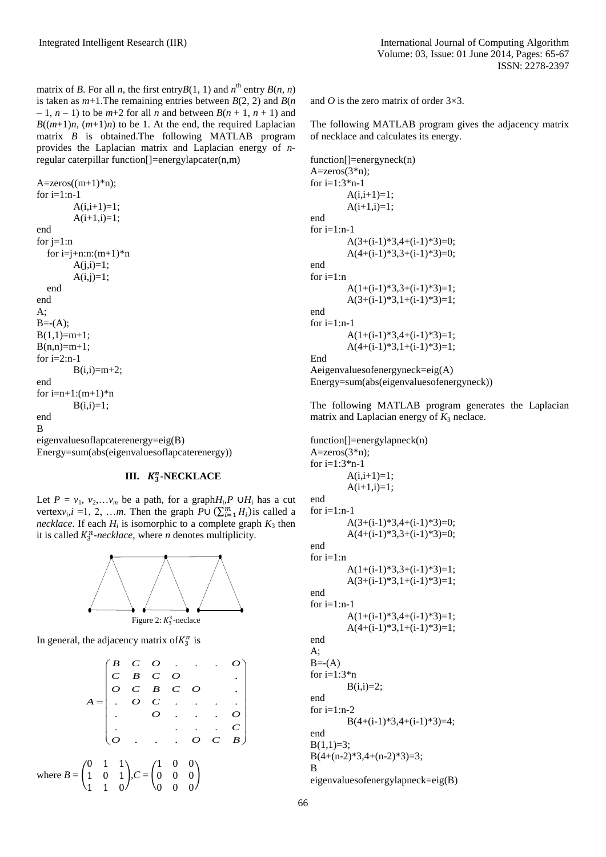matrix of *B*. For all *n*, the first entry  $B(1, 1)$  and  $n^{\text{th}}$  entry  $B(n, n)$ is taken as  $m+1$ . The remaining entries between  $B(2, 2)$  and  $B(n)$  $-1$ ,  $n-1$ ) to be  $m+2$  for all *n* and between  $B(n+1, n+1)$  and  $B((m+1)n, (m+1)n)$  to be 1. At the end, the required Laplacian matrix *B* is obtained.The following MATLAB program provides the Laplacian matrix and Laplacian energy of *n*regular caterpillar function[]=energylapcater(n,m)

 $A = zeros((m+1)*n);$ for  $i=1:n-1$  $A(i,i+1)=1$ ;  $A(i+1,i)=1;$ end for  $i=1:n$ for  $i=j+n:n:(m+1)*n$  $A(i,i)=1;$  $A(i,j)=1;$  end end A;  $B = -(A)$ ;  $B(1,1)=m+1;$  $B(n,n)=m+1;$ for  $i=2:n-1$  $B(i,i)=m+2;$ end for  $i=n+1:(m+1)*n$  $B(i,i)=1;$ end B eigenvaluesoflapcaterenergy=eig(B) Energy=sum(abs(eigenvaluesoflapcaterenergy))

# **III.**  $K_3^n$ -NECKLACE

Let  $P = v_1, v_2,...v_m$  be a path, for a graph $H_i, P \cup H_i$  has a cut vertex $v_i$ , *i* = 1, 2, ...m. Then the graph  $P \cup (\sum_{i=1}^{m} H_i)$  is called a *necklace*. If each  $H_i$  is isomorphic to a complete graph  $K_3$  then it is called  $K_3^n$ -necklace, where *n* denotes multiplicity.



In general, the adjacency matrix of  $K_3^n$  is

$$
A = \begin{pmatrix} B & C & O & \cdot & \cdot & O \\ C & B & C & O & \cdot & \cdot \\ O & C & B & C & O & \cdot \\ \cdot & O & C & \cdot & \cdot & \cdot & \cdot \\ \cdot & \cdot & \cdot & \cdot & \cdot & \cdot & \cdot \\ O & \cdot & \cdot & \cdot & \cdot & \cdot & \cdot \\ O & \cdot & \cdot & \cdot & \cdot & \cdot & \cdot \\ O & \cdot & \cdot & \cdot & \cdot & \cdot & \cdot \\ O & \cdot & \cdot & \cdot & \cdot & \cdot & \cdot \\ O & \cdot & \cdot & \cdot & \cdot & \cdot & \cdot \\ O & \cdot & \cdot & \cdot & \cdot & \cdot & \cdot \\ O & \cdot & \cdot & \cdot & \cdot & \cdot & \cdot \\ O & \cdot & \cdot & \cdot & \cdot & \cdot & \cdot \\ O & \cdot & \cdot & \cdot & \cdot & \cdot & \cdot \\ O & \cdot & \cdot & \cdot & \cdot & \cdot & \cdot \\ O & \cdot & \cdot & \cdot & \cdot & \cdot & \cdot \\ O & \cdot & \cdot & \cdot & \cdot & \cdot & \cdot \\ O & \cdot & \cdot & \cdot & \cdot & \cdot & \cdot \\ O & \cdot & \cdot & \cdot & \cdot & \cdot & \cdot \\ O & \cdot & \cdot & \cdot & \cdot & \cdot & \cdot \\ O & \cdot & \cdot & \cdot & \cdot & \cdot & \cdot \\ O & \cdot & \cdot & \cdot & \cdot & \cdot & \cdot \\ O & \cdot & \cdot & \cdot & \cdot & \cdot & \cdot \\ O & \cdot & \cdot & \cdot & \cdot & \cdot & \cdot \\ O & \cdot & \cdot & \cdot & \cdot & \cdot & \cdot \\ O & \cdot & \cdot & \cdot & \cdot & \cdot & \cdot \\ O & \cdot & \cdot & \cdot & \cdot & \cdot & \cdot \\ O & \cdot & \cdot & \cdot & \cdot & \cdot & \cdot \\ O & \cdot & \cdot & \cdot & \cdot & \cdot & \cdot \\ O & \cdot & \cdot & \cdot & \cdot & \cdot & \cdot \\ O & \cdot & \cdot & \cdot & \cdot & \cdot & \cdot \\ O & \cdot & \cdot & \cdot & \cdot & \cdot & \cdot \\ O & \cdot & \cdot & \cdot & \cdot & \cdot & \cdot \\ O & \cdot & \cdot & \cdot & \cdot & \cdot & \cdot \\ O & \cdot & \cdot & \cdot & \cdot & \cdot & \cdot \\ O & \cdot & \cdot & \cdot & \cdot & \cdot & \cdot \\ O & \cdot & \cdot & \cdot & \cdot & \cdot & \cdot \\ O & \cdot & \cdot & \cdot & \cdot & \cdot & \cdot \\ O & \cdot & \cdot & \cdot
$$

and *O* is the zero matrix of order 3×3.

The following MATLAB program gives the adjacency matrix of necklace and calculates its energy.

function[]=energyneck(n)  $A = zeros(3*n);$ for  $i=1:3*n-1$  $A(i,i+1)=1;$  $A(i+1,i)=1;$ end for  $i=1:n-1$  $A(3+(i-1)*3,4+(i-1)*3)=0$ ;  $A(4+(i-1)*3,3+(i-1)*3)=0;$ end for  $i=1:n$  $A(1+(i-1)*3,3+(i-1)*3)=1$ ;  $A(3+(i-1)*3,1+(i-1)*3)=1;$ end for  $i=1:n-1$  $A(1+(i-1)*3,4+(i-1)*3)=1;$  $A(4+(i-1)*3,1+(i-1)*3)=1;$ End Aeigenvaluesofenergyneck=eig(A) Energy=sum(abs(eigenvaluesofenergyneck))

The following MATLAB program generates the Laplacian matrix and Laplacian energy of  $K_3$  neclace.

function[]=energylapneck(n)  $A = zeros(3*n);$ for  $i=1:3*n-1$  $A(i,i+1)=1;$  $A(i+1,i)=1;$ end for  $i=1:n-1$  $A(3+(i-1)*3,4+(i-1)*3)=0;$  $A(4+(i-1)*3,3+(i-1)*3)=0;$ end for  $i=1:n$  $A(1+(i-1)*3,3+(i-1)*3)=1;$  $A(3+(i-1)*3,1+(i-1)*3)=1;$ end for  $i=1:n-1$  $A(1+(i-1)*3,4+(i-1)*3)=1;$ A(4+(i-1)\*3,1+(i-1)\*3)=1; end A;  $B = -(A)$ for  $i=1:3*n$  $B(i,i)=2;$ end for  $i=1:n-2$  $B(4+(i-1)*3,4+(i-1)*3)=4;$ end  $B(1,1)=3;$  $B(4+(n-2)*3,4+(n-2)*3)=3;$ B eigenvaluesofenergylapneck=eig(B)